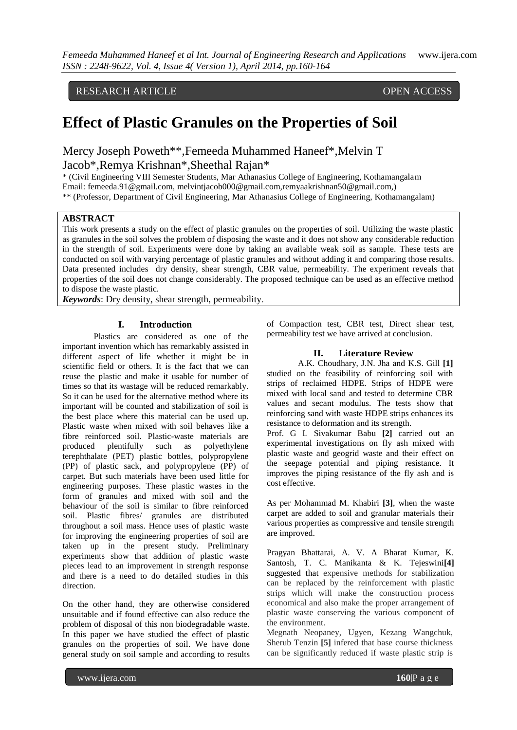RESEARCH ARTICLE OPEN ACCESS

# **Effect of Plastic Granules on the Properties of Soil**

Mercy Joseph Poweth\*\*,Femeeda Muhammed Haneef\*,Melvin T Jacob\*,Remya Krishnan\*,Sheethal Rajan\*

\* (Civil Engineering VIII Semester Students, Mar Athanasius College of Engineering, Kothamangalam Email: femeeda.91@gmail.com, melvintjacob000@gmail.com,remyaakrishnan50@gmail.com,) \*\* (Professor, Department of Civil Engineering, Mar Athanasius College of Engineering, Kothamangalam)

# **ABSTRACT**

This work presents a study on the effect of plastic granules on the properties of soil. Utilizing the waste plastic as granules in the soil solves the problem of disposing the waste and it does not show any considerable reduction in the strength of soil. Experiments were done by taking an available weak soil as sample. These tests are conducted on soil with varying percentage of plastic granules and without adding it and comparing those results. Data presented includes dry density, shear strength, CBR value, permeability. The experiment reveals that properties of the soil does not change considerably. The proposed technique can be used as an effective method to dispose the waste plastic.

*Keywords*: Dry density, shear strength, permeability.

# **I. Introduction**

Plastics are considered as one of the important invention which has remarkably assisted in different aspect of life whether it might be in scientific field or others. It is the fact that we can reuse the plastic and make it usable for number of times so that its wastage will be reduced remarkably. So it can be used for the alternative method where its important will be counted and stabilization of soil is the best place where this material can be used up. Plastic waste when mixed with soil behaves like a fibre reinforced soil. Plastic-waste materials are produced plentifully such as polyethylene terephthalate (PET) plastic bottles, polypropylene (PP) of plastic sack, and polypropylene (PP) of carpet. But such materials have been used little for engineering purposes. These plastic wastes in the form of granules and mixed with soil and the behaviour of the soil is similar to fibre reinforced soil. Plastic fibres/ granules are distributed throughout a soil mass. Hence uses of plastic waste for improving the engineering properties of soil are taken up in the present study. Preliminary experiments show that addition of plastic waste pieces lead to an improvement in strength response and there is a need to do detailed studies in this direction.

On the other hand, they are otherwise considered unsuitable and if found effective can also reduce the problem of disposal of this non biodegradable waste. In this paper we have studied the effect of plastic granules on the properties of soil. We have done general study on soil sample and according to results

of Compaction test, CBR test, Direct shear test, permeability test we have arrived at conclusion.

#### **II. Literature Review**

A.K. Choudhary, J.N. Jha and K.S. Gill **[1]** studied on the feasibility of reinforcing soil with strips of reclaimed HDPE. Strips of HDPE were mixed with local sand and tested to determine CBR values and secant modulus. The tests show that reinforcing sand with waste HDPE strips enhances its resistance to deformation and its strength.

Prof. G L Sivakumar Babu **[2]** carried out an experimental investigations on fly ash mixed with plastic waste and geogrid waste and their effect on the seepage potential and piping resistance. It improves the piping resistance of the fly ash and is cost effective.

As per Mohammad M. Khabiri **[3]**, when the waste carpet are added to soil and granular materials their various properties as compressive and tensile strength are improved.

Pragyan Bhattarai, A. V. A Bharat Kumar, K. Santosh, T. C. Manikanta & K. Tejeswini**[4]** suggested that expensive methods for stabilization can be replaced by the reinforcement with plastic strips which will make the construction process economical and also make the proper arrangement of plastic waste conserving the various component of the environment.

Megnath Neopaney, Ugyen, Kezang Wangchuk, Sherub Tenzin **[5]** infered that base course thickness can be significantly reduced if waste plastic strip is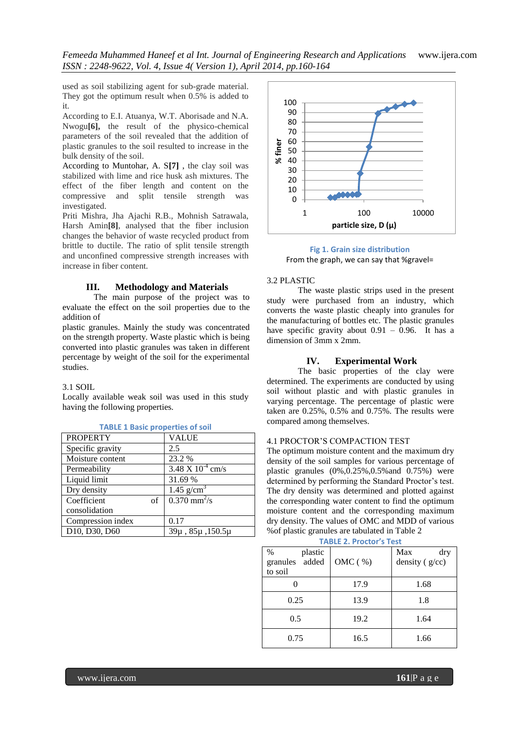used as soil stabilizing agent for sub-grade material. They got the optimum result when 0.5% is added to it.

According to E.I. Atuanya, W.T. Aborisade and N.A. Nwogu**[6],** the result of the physico-chemical parameters of the soil revealed that the addition of plastic granules to the soil resulted to increase in the bulk density of the soil.

According to Muntohar, A. S**[7]** , the clay soil was stabilized with lime and rice husk ash mixtures. The effect of the fiber length and content on the compressive and split tensile strength was investigated.

Priti Mishra, Jha Ajachi R.B., Mohnish Satrawala, Harsh Amin**[8]**, analysed that the fiber inclusion changes the behavior of waste recycled product from brittle to ductile. The ratio of split tensile strength and unconfined compressive strength increases with increase in fiber content.

# **III. Methodology and Materials**

The main purpose of the project was to evaluate the effect on the soil properties due to the addition of

plastic granules. Mainly the study was concentrated on the strength property. Waste plastic which is being converted into plastic granules was taken in different percentage by weight of the soil for the experimental studies.

# 3.1 SOIL

Locally available weak soil was used in this study having the following properties.

| <b>PROPERTY</b>   | <b>VALUE</b>                          |
|-------------------|---------------------------------------|
| Specific gravity  | 2.5                                   |
| Moisture content  | 23.2 %                                |
| Permeability      | $3.48 \text{ X} 10^{-4} \text{ cm/s}$ |
| Liquid limit      | 31.69 %                               |
| Dry density       | 1.45 $g/cm^3$                         |
| Coefficient<br>of | $0.370 \,\mathrm{mm}^2/\mathrm{s}$    |
| consolidation     |                                       |
| Compression index | 0.17                                  |
| D10, D30, D60     | 39µ, 85µ, 150.5µ                      |

**TABLE 1 Basic properties of soil**



**Fig 1. Grain size distribution**  From the graph, we can say that %gravel=

#### 3.2 PLASTIC

The waste plastic strips used in the present study were purchased from an industry, which converts the waste plastic cheaply into granules for the manufacturing of bottles etc. The plastic granules have specific gravity about  $0.91 - 0.96$ . It has a dimension of 3mm x 2mm.

# **IV. Experimental Work**

The basic properties of the clay were determined. The experiments are conducted by using soil without plastic and with plastic granules in varying percentage. The percentage of plastic were taken are 0.25%, 0.5% and 0.75%. The results were compared among themselves.

### 4.1 PROCTOR'S COMPACTION TEST

The optimum moisture content and the maximum dry density of the soil samples for various percentage of plastic granules (0%,0.25%,0.5%and 0.75%) were determined by performing the Standard Proctor's test. The dry density was determined and plotted against the corresponding water content to find the optimum moisture content and the corresponding maximum dry density. The values of OMC and MDD of various %of plastic granules are tabulated in Table 2

**TABLE 2. Proctor's Test**

| plastic<br>$\%$<br>granules added<br>to soil | OMC $( %)$ | Max<br>dry<br>density $(g/cc)$ |  |  |
|----------------------------------------------|------------|--------------------------------|--|--|
|                                              | 17.9       | 1.68                           |  |  |
| 0.25                                         | 13.9       | 1.8                            |  |  |
| 0.5                                          | 19.2       | 1.64                           |  |  |
| 0.75                                         | 16.5       | 1.66                           |  |  |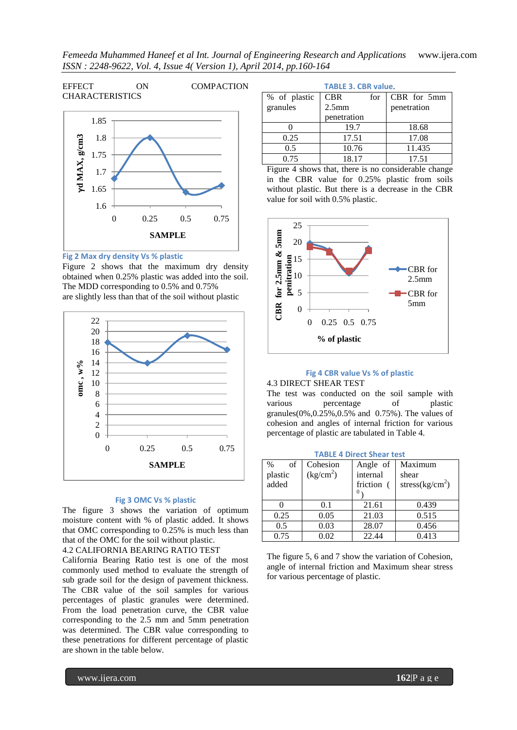*Femeeda Muhammed Haneef et al Int. Journal of Engineering Research and Applications* www.ijera.com *ISSN : 2248-9622, Vol. 4, Issue 4( Version 1), April 2014, pp.160-164*



**Fig 2 Max dry density Vs % plastic**

Figure 2 shows that the maximum dry density obtained when 0.25% plastic was added into the soil. The MDD corresponding to 0.5% and 0.75% are slightly less than that of the soil without plastic



# **Fig 3 OMC Vs % plastic**

The figure 3 shows the variation of optimum moisture content with % of plastic added. It shows that OMC corresponding to 0.25% is much less than that of the OMC for the soil without plastic.

#### 4.2 CALIFORNIA BEARING RATIO TEST

California Bearing Ratio test is one of the most commonly used method to evaluate the strength of sub grade soil for the design of pavement thickness. The CBR value of the soil samples for various percentages of plastic granules were determined. From the load penetration curve, the CBR value corresponding to the 2.5 mm and 5mm penetration was determined. The CBR value corresponding to these penetrations for different percentage of plastic are shown in the table below.

| <b>TABLE 3. CBR value.</b> |                   |  |             |  |  |  |
|----------------------------|-------------------|--|-------------|--|--|--|
| % of plastic               | <b>CBR</b><br>for |  | CBR for 5mm |  |  |  |
| granules                   | 2.5 <sub>mm</sub> |  | penetration |  |  |  |
|                            | penetration       |  |             |  |  |  |
|                            | 19.7              |  | 18.68       |  |  |  |
| 0.25                       | 17.51             |  | 17.08       |  |  |  |
| 0.5                        | 10.76             |  | 11.435      |  |  |  |
| 0.75                       | 18.17             |  | 17.51       |  |  |  |

Figure 4 shows that, there is no considerable change in the CBR value for 0.25% plastic from soils without plastic. But there is a decrease in the CBR value for soil with 0.5% plastic.



#### **Fig 4 CBR value Vs % of plastic**

#### 4.3 DIRECT SHEAR TEST

The test was conducted on the soil sample with various percentage of plastic granules( $0\%, 0.25\%, 0.5\%$  and  $0.75\%$ ). The values of cohesion and angles of internal friction for various percentage of plastic are tabulated in Table 4.

**TABLE 4 Direct Shear test**

| of<br>$\%$ | Cohesion                            | Angle of   | Maximum            |  |
|------------|-------------------------------------|------------|--------------------|--|
| plastic    | $\frac{\text{kg/cm}^2}{\text{m}^2}$ | internal   | shear              |  |
| added      |                                     | friction ( | stress $(kg/cm^2)$ |  |
|            |                                     | 0          |                    |  |
|            | 0.1                                 | 21.61      | 0.439              |  |
| 0.25       | 0.05                                | 21.03      | 0.515              |  |
| 0.5        | 0.03                                | 28.07      | 0.456              |  |
| 0.75       | 0.02                                | 22.44      | 0.413              |  |

The figure 5, 6 and 7 show the variation of Cohesion, angle of internal friction and Maximum shear stress for various percentage of plastic.

### www.ijera.com **162**|P a g e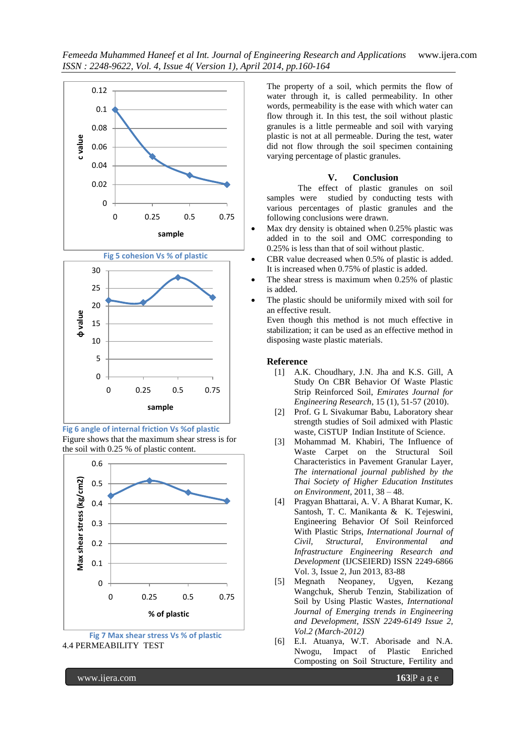*Femeeda Muhammed Haneef et al Int. Journal of Engineering Research and Applications* www.ijera.com *ISSN : 2248-9622, Vol. 4, Issue 4( Version 1), April 2014, pp.160-164*



**Fig 6 angle of internal friction Vs %of plastic** Figure shows that the maximum shear stress is for the soil with 0.25 % of plastic content.





The property of a soil, which permits the flow of water through it, is called permeability. In other words, permeability is the ease with which water can flow through it. In this test, the soil without plastic granules is a little permeable and soil with varying plastic is not at all permeable. During the test, water did not flow through the soil specimen containing varying percentage of plastic granules.

### **V. Conclusion**

The effect of plastic granules on soil samples were studied by conducting tests with various percentages of plastic granules and the following conclusions were drawn.

- Max dry density is obtained when 0.25% plastic was added in to the soil and OMC corresponding to 0.25% is less than that of soil without plastic.
- CBR value decreased when 0.5% of plastic is added. It is increased when 0.75% of plastic is added.
- The shear stress is maximum when 0.25% of plastic is added.
- The plastic should be uniformily mixed with soil for an effective result.

Even though this method is not much effective in stabilization; it can be used as an effective method in disposing waste plastic materials.

# **Reference**

- [1] A.K. Choudhary, J.N. Jha and K.S. Gill, A Study On CBR Behavior Of Waste Plastic Strip Reinforced Soil, *Emirates Journal for Engineering Research*, 15 (1), 51-57 (2010).
- [2] Prof. G L Sivakumar Babu, Laboratory shear strength studies of Soil admixed with Plastic waste, CiSTUP Indian Institute of Science.
- [3] Mohammad M. Khabiri, The Influence of Waste Carpet on the Structural Soil Characteristics in Pavement Granular Layer, *The international journal published by the Thai Society of Higher Education Institutes on Environment,* 2011, 38 – 48.
- [4] Pragyan Bhattarai, A. V. A Bharat Kumar, K. Santosh, T. C. Manikanta & K. Tejeswini, Engineering Behavior Of Soil Reinforced With Plastic Strips, *International Journal of Civil, Structural, Environmental and Infrastructure Engineering Research and Development* (IJCSEIERD) ISSN 2249-6866 Vol. 3, Issue 2, Jun 2013, 83-88
- [5] Megnath Neopaney, Ugyen, Kezang Wangchuk, Sherub Tenzin, Stabilization of Soil by Using Plastic Wastes*, International Journal of Emerging trends in Engineering and Development, ISSN 2249-6149 Issue 2, Vol.2 (March-2012)*
- [6] E.I. Atuanya, W.T. Aborisade and N.A. Nwogu, Impact of Plastic Enriched Composting on Soil Structure, Fertility and

www.ijera.com **163**|P a g e